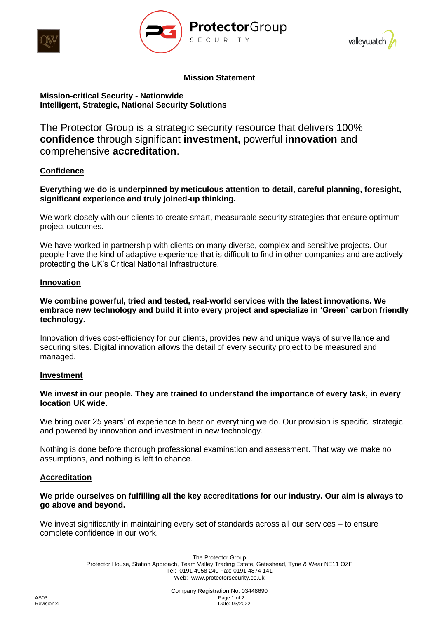





#### **Mission Statement**

# **Mission-critical Security - Nationwide Intelligent, Strategic, National Security Solutions**

The Protector Group is a strategic security resource that delivers 100% **confidence** through significant **investment,** powerful **innovation** and comprehensive **accreditation**.

## **Confidence**

# **Everything we do is underpinned by meticulous attention to detail, careful planning, foresight, significant experience and truly joined-up thinking.**

We work closely with our clients to create smart, measurable security strategies that ensure optimum project outcomes.

We have worked in partnership with clients on many diverse, complex and sensitive projects. Our people have the kind of adaptive experience that is difficult to find in other companies and are actively protecting the UK's Critical National Infrastructure.

### **Innovation**

### **We combine powerful, tried and tested, real-world services with the latest innovations. We embrace new technology and build it into every project and specialize in 'Green' carbon friendly technology.**

Innovation drives cost-efficiency for our clients, provides new and unique ways of surveillance and securing sites. Digital innovation allows the detail of every security project to be measured and managed.

## **Investment**

## **We invest in our people. They are trained to understand the importance of every task, in every location UK wide.**

We bring over 25 years' of experience to bear on everything we do. Our provision is specific, strategic and powered by innovation and investment in new technology.

Nothing is done before thorough professional examination and assessment. That way we make no assumptions, and nothing is left to chance.

#### **Accreditation**

## **We pride ourselves on fulfilling all the key accreditations for our industry. Our aim is always to go above and beyond.**

We invest significantly in maintaining every set of standards across all our services – to ensure complete confidence in our work.

> The Protector Group Protector House, Station Approach, Team Valley Trading Estate, Gateshead, Tyne & Wear NE11 OZF Tel: 0191 4958 240 Fax: 0191 4874 141 Web: www.protectorsecurity.co.uk

Company Registration No: 03448690 AS03 Revision:4 Page 1 of 2 Date: 03/2022